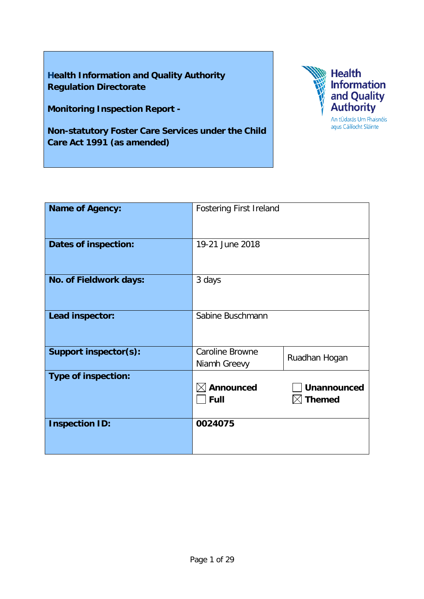**Health Information and Quality Authority Regulation Directorate**

**Monitoring Inspection Report -**

**Non-statutory Foster Care Services under the Child Care Act 1991 (as amended)**



| <b>Name of Agency:</b>      | <b>Fostering First Ireland</b>       |                                              |
|-----------------------------|--------------------------------------|----------------------------------------------|
| <b>Dates of inspection:</b> | 19-21 June 2018                      |                                              |
| No. of Fieldwork days:      | 3 days                               |                                              |
| Lead inspector:             | Sabine Buschmann                     |                                              |
| Support inspector(s):       | Caroline Browne<br>Niamh Greevy      | Ruadhan Hogan                                |
| <b>Type of inspection:</b>  | $\mathbb I$ Announced<br><b>Full</b> | <b>Unannounced</b><br>$\triangleleft$ Themed |
| <b>Inspection ID:</b>       | 0024075                              |                                              |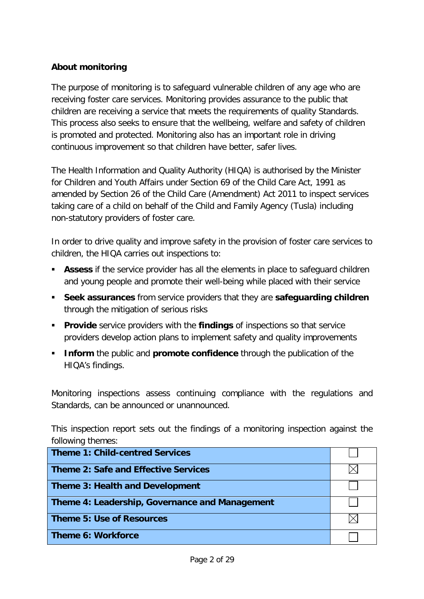# **About monitoring**

The purpose of monitoring is to safeguard vulnerable children of any age who are receiving foster care services. Monitoring provides assurance to the public that children are receiving a service that meets the requirements of quality Standards. This process also seeks to ensure that the wellbeing, welfare and safety of children is promoted and protected. Monitoring also has an important role in driving continuous improvement so that children have better, safer lives.

The Health Information and Quality Authority (HIQA) is authorised by the Minister for Children and Youth Affairs under Section 69 of the Child Care Act, 1991 as amended by Section 26 of the Child Care (Amendment) Act 2011 to inspect services taking care of a child on behalf of the Child and Family Agency (Tusla) including non-statutory providers of foster care.

In order to drive quality and improve safety in the provision of foster care services to children, the HIQA carries out inspections to:

- **Assess** if the service provider has all the elements in place to safeguard children and young people and promote their well-being while placed with their service
- **Seek assurances** from service providers that they are **safeguarding children**  through the mitigation of serious risks
- **Provide** service providers with the **findings** of inspections so that service providers develop action plans to implement safety and quality improvements
- **Inform** the public and **promote confidence** through the publication of the HIQA's findings.

Monitoring inspections assess continuing compliance with the regulations and Standards, can be announced or unannounced.

This inspection report sets out the findings of a monitoring inspection against the following themes:

| <b>Theme 1: Child-centred Services</b>         |  |
|------------------------------------------------|--|
| <b>Theme 2: Safe and Effective Services</b>    |  |
| <b>Theme 3: Health and Development</b>         |  |
| Theme 4: Leadership, Governance and Management |  |
| <b>Theme 5: Use of Resources</b>               |  |
| <b>Theme 6: Workforce</b>                      |  |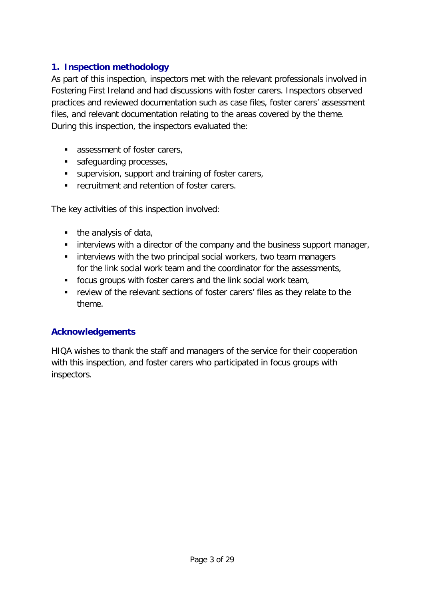# **1. Inspection methodology**

As part of this inspection, inspectors met with the relevant professionals involved in Fostering First Ireland and had discussions with foster carers. Inspectors observed practices and reviewed documentation such as case files, foster carers' assessment files, and relevant documentation relating to the areas covered by the theme. During this inspection, the inspectors evaluated the:

- **assessment of foster carers,**
- safeguarding processes,
- supervision, support and training of foster carers,
- **F** recruitment and retention of foster carers.

The key activities of this inspection involved:

- $\blacksquare$  the analysis of data,
- **EXEDENT** interviews with a director of the company and the business support manager,
- **EXTERGHTM** interviews with the two principal social workers, two team managers for the link social work team and the coordinator for the assessments,
- focus groups with foster carers and the link social work team,
- **•** review of the relevant sections of foster carers' files as they relate to the theme.

## **Acknowledgements**

HIQA wishes to thank the staff and managers of the service for their cooperation with this inspection, and foster carers who participated in focus groups with inspectors.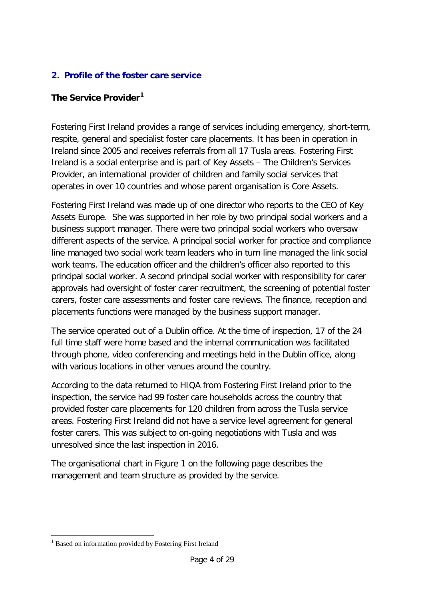# **2. Profile of the foster care service**

## **The Service Provider[1](#page-3-0)**

Fostering First Ireland provides a range of services including emergency, short-term, respite, general and specialist foster care placements. It has been in operation in Ireland since 2005 and receives referrals from all 17 Tusla areas. Fostering First Ireland is a social enterprise and is part of Key Assets – The Children's Services Provider, an international provider of children and family social services that operates in over 10 countries and whose parent organisation is Core Assets.

Fostering First Ireland was made up of one director who reports to the CEO of Key Assets Europe. She was supported in her role by two principal social workers and a business support manager. There were two principal social workers who oversaw different aspects of the service. A principal social worker for practice and compliance line managed two social work team leaders who in turn line managed the link social work teams. The education officer and the children's officer also reported to this principal social worker. A second principal social worker with responsibility for carer approvals had oversight of foster carer recruitment, the screening of potential foster carers, foster care assessments and foster care reviews. The finance, reception and placements functions were managed by the business support manager.

The service operated out of a Dublin office. At the time of inspection, 17 of the 24 full time staff were home based and the internal communication was facilitated through phone, video conferencing and meetings held in the Dublin office, along with various locations in other venues around the country.

According to the data returned to HIQA from Fostering First Ireland prior to the inspection, the service had 99 foster care households across the country that provided foster care placements for 120 children from across the Tusla service areas. Fostering First Ireland did not have a service level agreement for general foster carers. This was subject to on-going negotiations with Tusla and was unresolved since the last inspection in 2016.

The organisational chart in Figure 1 on the following page describes the management and team structure as provided by the service.

<span id="page-3-0"></span><sup>&</sup>lt;sup>1</sup> Based on information provided by Fostering First Ireland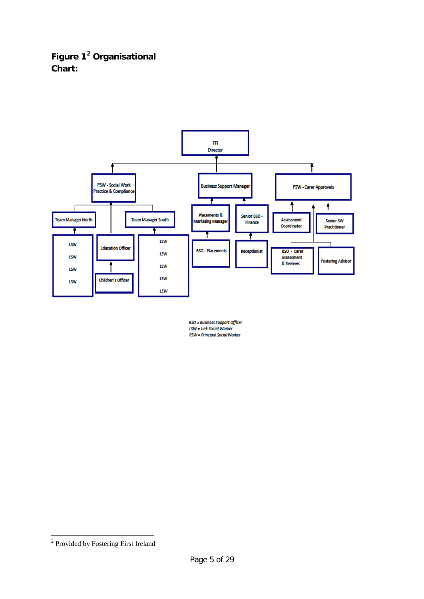# **Figure 1[2](#page-4-0) Organisational Chart:**



BSO = Business Support Officer<br>LSW = Link Social Worker PSW = Principal Social Worker

<span id="page-4-0"></span> <sup>2</sup> Provided by Fostering First Ireland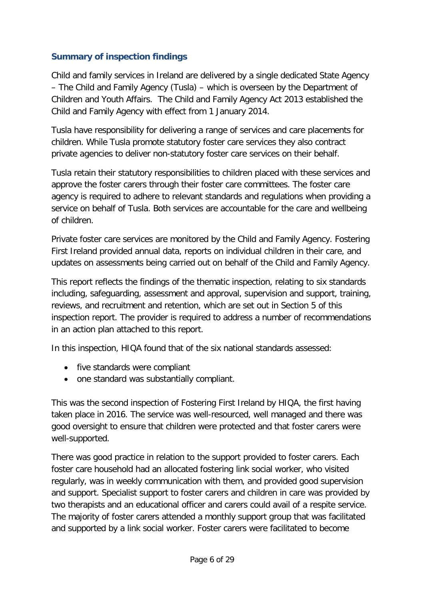# **Summary of inspection findings**

Child and family services in Ireland are delivered by a single dedicated State Agency – The Child and Family Agency (Tusla) – which is overseen by the Department of Children and Youth Affairs. The Child and Family Agency Act 2013 established the Child and Family Agency with effect from 1 January 2014.

Tusla have responsibility for delivering a range of services and care placements for children. While Tusla promote statutory foster care services they also contract private agencies to deliver non-statutory foster care services on their behalf.

Tusla retain their statutory responsibilities to children placed with these services and approve the foster carers through their foster care committees. The foster care agency is required to adhere to relevant standards and regulations when providing a service on behalf of Tusla. Both services are accountable for the care and wellbeing of children.

Private foster care services are monitored by the Child and Family Agency. Fostering First Ireland provided annual data, reports on individual children in their care, and updates on assessments being carried out on behalf of the Child and Family Agency.

This report reflects the findings of the thematic inspection, relating to six standards including, safeguarding, assessment and approval, supervision and support, training, reviews, and recruitment and retention, which are set out in Section 5 of this inspection report. The provider is required to address a number of recommendations in an action plan attached to this report.

In this inspection, HIQA found that of the six national standards assessed:

- five standards were compliant
- one standard was substantially compliant.

This was the second inspection of Fostering First Ireland by HIQA, the first having taken place in 2016. The service was well-resourced, well managed and there was good oversight to ensure that children were protected and that foster carers were well-supported.

There was good practice in relation to the support provided to foster carers. Each foster care household had an allocated fostering link social worker, who visited regularly, was in weekly communication with them, and provided good supervision and support. Specialist support to foster carers and children in care was provided by two therapists and an educational officer and carers could avail of a respite service. The majority of foster carers attended a monthly support group that was facilitated and supported by a link social worker. Foster carers were facilitated to become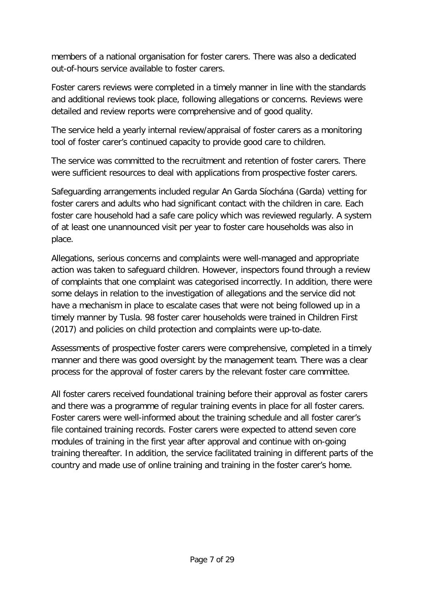members of a national organisation for foster carers. There was also a dedicated out-of-hours service available to foster carers.

Foster carers reviews were completed in a timely manner in line with the standards and additional reviews took place, following allegations or concerns. Reviews were detailed and review reports were comprehensive and of good quality.

The service held a yearly internal review/appraisal of foster carers as a monitoring tool of foster carer's continued capacity to provide good care to children.

The service was committed to the recruitment and retention of foster carers. There were sufficient resources to deal with applications from prospective foster carers.

Safeguarding arrangements included regular An Garda Síochána (Garda) vetting for foster carers and adults who had significant contact with the children in care. Each foster care household had a safe care policy which was reviewed regularly. A system of at least one unannounced visit per year to foster care households was also in place.

Allegations, serious concerns and complaints were well-managed and appropriate action was taken to safeguard children. However, inspectors found through a review of complaints that one complaint was categorised incorrectly. In addition, there were some delays in relation to the investigation of allegations and the service did not have a mechanism in place to escalate cases that were not being followed up in a timely manner by Tusla. 98 foster carer households were trained in Children First (2017) and policies on child protection and complaints were up-to-date.

Assessments of prospective foster carers were comprehensive, completed in a timely manner and there was good oversight by the management team. There was a clear process for the approval of foster carers by the relevant foster care committee.

All foster carers received foundational training before their approval as foster carers and there was a programme of regular training events in place for all foster carers. Foster carers were well-informed about the training schedule and all foster carer's file contained training records. Foster carers were expected to attend seven core modules of training in the first year after approval and continue with on-going training thereafter. In addition, the service facilitated training in different parts of the country and made use of online training and training in the foster carer's home.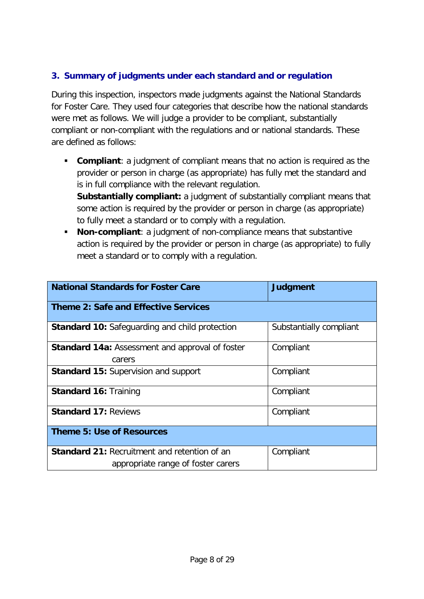# **3. Summary of judgments under each standard and or regulation**

During this inspection, inspectors made judgments against the National Standards for Foster Care. They used four categories that describe how the national standards were met as follows. We will judge a provider to be compliant, substantially compliant or non-compliant with the regulations and or national standards. These are defined as follows:

**Compliant**: a judgment of compliant means that no action is required as the provider or person in charge (as appropriate) has fully met the standard and is in full compliance with the relevant regulation.

**Substantially compliant:** a judgment of substantially compliant means that some action is required by the provider or person in charge (as appropriate) to fully meet a standard or to comply with a regulation.

 **Non-compliant**: a judgment of non-compliance means that substantive action is required by the provider or person in charge (as appropriate) to fully meet a standard or to comply with a regulation.

| <b>National Standards for Foster Care</b>              | <b>Judgment</b>         |  |
|--------------------------------------------------------|-------------------------|--|
| <b>Theme 2: Safe and Effective Services</b>            |                         |  |
| <b>Standard 10: Safeguarding and child protection</b>  | Substantially compliant |  |
| <b>Standard 14a: Assessment and approval of foster</b> | Compliant               |  |
| carers                                                 |                         |  |
| Standard 15: Supervision and support                   | Compliant               |  |
| <b>Standard 16: Training</b>                           | Compliant               |  |
| <b>Standard 17: Reviews</b>                            | Compliant               |  |
| <b>Theme 5: Use of Resources</b>                       |                         |  |
| <b>Standard 21: Recruitment and retention of an</b>    | Compliant               |  |
| appropriate range of foster carers                     |                         |  |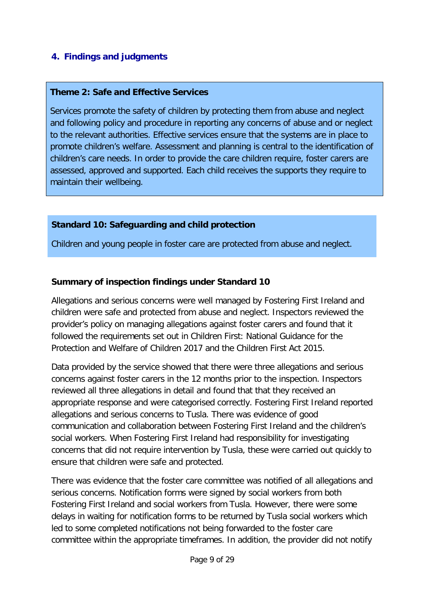# **4. Findings and judgments**

#### **Theme 2: Safe and Effective Services**

Services promote the safety of children by protecting them from abuse and neglect and following policy and procedure in reporting any concerns of abuse and or neglect to the relevant authorities. Effective services ensure that the systems are in place to promote children's welfare. Assessment and planning is central to the identification of children's care needs. In order to provide the care children require, foster carers are assessed, approved and supported. Each child receives the supports they require to maintain their wellbeing.

#### **Standard 10: Safeguarding and child protection**

Children and young people in foster care are protected from abuse and neglect.

#### **Summary of inspection findings under Standard 10**

Allegations and serious concerns were well managed by Fostering First Ireland and children were safe and protected from abuse and neglect. Inspectors reviewed the provider's policy on managing allegations against foster carers and found that it followed the requirements set out in Children First: National Guidance for the Protection and Welfare of Children 2017 and the Children First Act 2015.

Data provided by the service showed that there were three allegations and serious concerns against foster carers in the 12 months prior to the inspection. Inspectors reviewed all three allegations in detail and found that that they received an appropriate response and were categorised correctly. Fostering First Ireland reported allegations and serious concerns to Tusla. There was evidence of good communication and collaboration between Fostering First Ireland and the children's social workers. When Fostering First Ireland had responsibility for investigating concerns that did not require intervention by Tusla, these were carried out quickly to ensure that children were safe and protected.

There was evidence that the foster care committee was notified of all allegations and serious concerns. Notification forms were signed by social workers from both Fostering First Ireland and social workers from Tusla. However, there were some delays in waiting for notification forms to be returned by Tusla social workers which led to some completed notifications not being forwarded to the foster care committee within the appropriate timeframes. In addition, the provider did not notify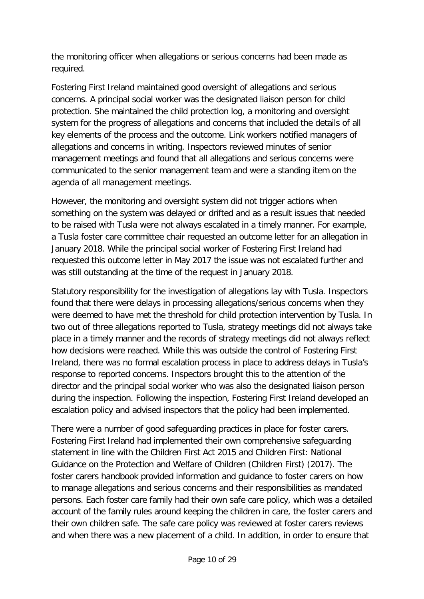the monitoring officer when allegations or serious concerns had been made as required.

Fostering First Ireland maintained good oversight of allegations and serious concerns. A principal social worker was the designated liaison person for child protection. She maintained the child protection log, a monitoring and oversight system for the progress of allegations and concerns that included the details of all key elements of the process and the outcome. Link workers notified managers of allegations and concerns in writing. Inspectors reviewed minutes of senior management meetings and found that all allegations and serious concerns were communicated to the senior management team and were a standing item on the agenda of all management meetings.

However, the monitoring and oversight system did not trigger actions when something on the system was delayed or drifted and as a result issues that needed to be raised with Tusla were not always escalated in a timely manner. For example, a Tusla foster care committee chair requested an outcome letter for an allegation in January 2018. While the principal social worker of Fostering First Ireland had requested this outcome letter in May 2017 the issue was not escalated further and was still outstanding at the time of the request in January 2018.

Statutory responsibility for the investigation of allegations lay with Tusla. Inspectors found that there were delays in processing allegations/serious concerns when they were deemed to have met the threshold for child protection intervention by Tusla. In two out of three allegations reported to Tusla, strategy meetings did not always take place in a timely manner and the records of strategy meetings did not always reflect how decisions were reached. While this was outside the control of Fostering First Ireland, there was no formal escalation process in place to address delays in Tusla's response to reported concerns. Inspectors brought this to the attention of the director and the principal social worker who was also the designated liaison person during the inspection. Following the inspection, Fostering First Ireland developed an escalation policy and advised inspectors that the policy had been implemented.

There were a number of good safeguarding practices in place for foster carers. Fostering First Ireland had implemented their own comprehensive safeguarding statement in line with the Children First Act 2015 and Children First: National Guidance on the Protection and Welfare of Children (Children First) (2017). The foster carers handbook provided information and guidance to foster carers on how to manage allegations and serious concerns and their responsibilities as mandated persons. Each foster care family had their own safe care policy, which was a detailed account of the family rules around keeping the children in care, the foster carers and their own children safe. The safe care policy was reviewed at foster carers reviews and when there was a new placement of a child. In addition, in order to ensure that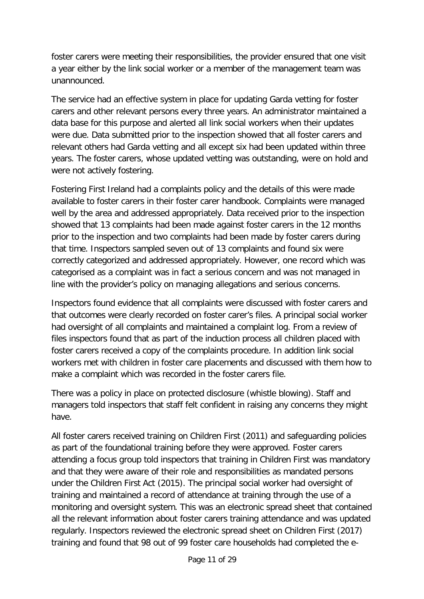foster carers were meeting their responsibilities, the provider ensured that one visit a year either by the link social worker or a member of the management team was unannounced.

The service had an effective system in place for updating Garda vetting for foster carers and other relevant persons every three years. An administrator maintained a data base for this purpose and alerted all link social workers when their updates were due. Data submitted prior to the inspection showed that all foster carers and relevant others had Garda vetting and all except six had been updated within three years. The foster carers, whose updated vetting was outstanding, were on hold and were not actively fostering.

Fostering First Ireland had a complaints policy and the details of this were made available to foster carers in their foster carer handbook. Complaints were managed well by the area and addressed appropriately. Data received prior to the inspection showed that 13 complaints had been made against foster carers in the 12 months prior to the inspection and two complaints had been made by foster carers during that time. Inspectors sampled seven out of 13 complaints and found six were correctly categorized and addressed appropriately. However, one record which was categorised as a complaint was in fact a serious concern and was not managed in line with the provider's policy on managing allegations and serious concerns.

Inspectors found evidence that all complaints were discussed with foster carers and that outcomes were clearly recorded on foster carer's files. A principal social worker had oversight of all complaints and maintained a complaint log. From a review of files inspectors found that as part of the induction process all children placed with foster carers received a copy of the complaints procedure. In addition link social workers met with children in foster care placements and discussed with them how to make a complaint which was recorded in the foster carers file.

There was a policy in place on protected disclosure (whistle blowing). Staff and managers told inspectors that staff felt confident in raising any concerns they might have.

All foster carers received training on Children First (2011) and safeguarding policies as part of the foundational training before they were approved. Foster carers attending a focus group told inspectors that training in Children First was mandatory and that they were aware of their role and responsibilities as mandated persons under the Children First Act (2015). The principal social worker had oversight of training and maintained a record of attendance at training through the use of a monitoring and oversight system. This was an electronic spread sheet that contained all the relevant information about foster carers training attendance and was updated regularly. Inspectors reviewed the electronic spread sheet on Children First (2017) training and found that 98 out of 99 foster care households had completed the e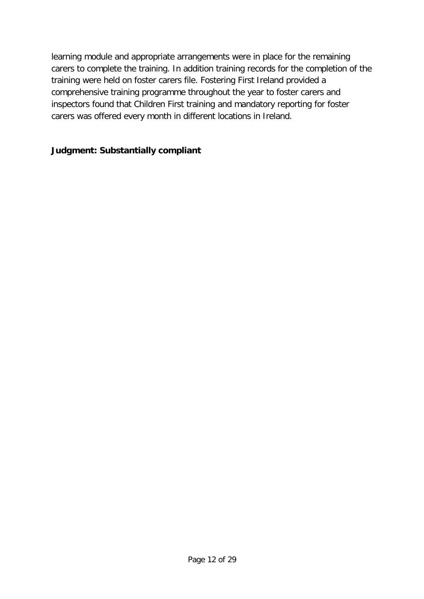learning module and appropriate arrangements were in place for the remaining carers to complete the training. In addition training records for the completion of the training were held on foster carers file. Fostering First Ireland provided a comprehensive training programme throughout the year to foster carers and inspectors found that Children First training and mandatory reporting for foster carers was offered every month in different locations in Ireland.

## **Judgment: Substantially compliant**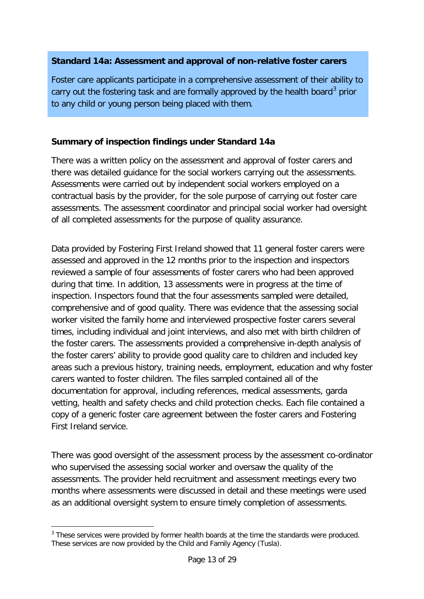### **Standard 14a: Assessment and approval of non-relative foster carers**

Foster care applicants participate in a comprehensive assessment of their ability to carry out the fostering task and are formally approved by the health board<sup>[3](#page-12-0)</sup> prior to any child or young person being placed with them.

## **Summary of inspection findings under Standard 14a**

There was a written policy on the assessment and approval of foster carers and there was detailed guidance for the social workers carrying out the assessments. Assessments were carried out by independent social workers employed on a contractual basis by the provider, for the sole purpose of carrying out foster care assessments. The assessment coordinator and principal social worker had oversight of all completed assessments for the purpose of quality assurance.

Data provided by Fostering First Ireland showed that 11 general foster carers were assessed and approved in the 12 months prior to the inspection and inspectors reviewed a sample of four assessments of foster carers who had been approved during that time. In addition, 13 assessments were in progress at the time of inspection. Inspectors found that the four assessments sampled were detailed, comprehensive and of good quality. There was evidence that the assessing social worker visited the family home and interviewed prospective foster carers several times, including individual and joint interviews, and also met with birth children of the foster carers. The assessments provided a comprehensive in-depth analysis of the foster carers' ability to provide good quality care to children and included key areas such a previous history, training needs, employment, education and why foster carers wanted to foster children. The files sampled contained all of the documentation for approval, including references, medical assessments, garda vetting, health and safety checks and child protection checks. Each file contained a copy of a generic foster care agreement between the foster carers and Fostering First Ireland service.

There was good oversight of the assessment process by the assessment co-ordinator who supervised the assessing social worker and oversaw the quality of the assessments. The provider held recruitment and assessment meetings every two months where assessments were discussed in detail and these meetings were used as an additional oversight system to ensure timely completion of assessments.

<span id="page-12-0"></span><sup>-</sup><sup>3</sup> These services were provided by former health boards at the time the standards were produced. These services are now provided by the Child and Family Agency (Tusla).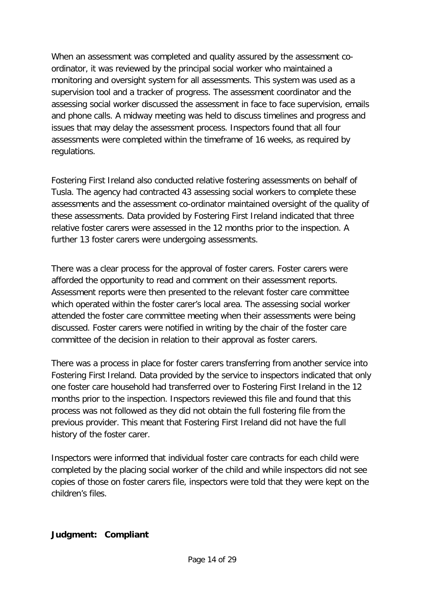When an assessment was completed and quality assured by the assessment coordinator, it was reviewed by the principal social worker who maintained a monitoring and oversight system for all assessments. This system was used as a supervision tool and a tracker of progress. The assessment coordinator and the assessing social worker discussed the assessment in face to face supervision, emails and phone calls. A midway meeting was held to discuss timelines and progress and issues that may delay the assessment process. Inspectors found that all four assessments were completed within the timeframe of 16 weeks, as required by regulations.

Fostering First Ireland also conducted relative fostering assessments on behalf of Tusla. The agency had contracted 43 assessing social workers to complete these assessments and the assessment co-ordinator maintained oversight of the quality of these assessments. Data provided by Fostering First Ireland indicated that three relative foster carers were assessed in the 12 months prior to the inspection. A further 13 foster carers were undergoing assessments.

There was a clear process for the approval of foster carers. Foster carers were afforded the opportunity to read and comment on their assessment reports. Assessment reports were then presented to the relevant foster care committee which operated within the foster carer's local area. The assessing social worker attended the foster care committee meeting when their assessments were being discussed. Foster carers were notified in writing by the chair of the foster care committee of the decision in relation to their approval as foster carers.

There was a process in place for foster carers transferring from another service into Fostering First Ireland. Data provided by the service to inspectors indicated that only one foster care household had transferred over to Fostering First Ireland in the 12 months prior to the inspection. Inspectors reviewed this file and found that this process was not followed as they did not obtain the full fostering file from the previous provider. This meant that Fostering First Ireland did not have the full history of the foster carer.

Inspectors were informed that individual foster care contracts for each child were completed by the placing social worker of the child and while inspectors did not see copies of those on foster carers file, inspectors were told that they were kept on the children's files.

#### **Judgment: Compliant**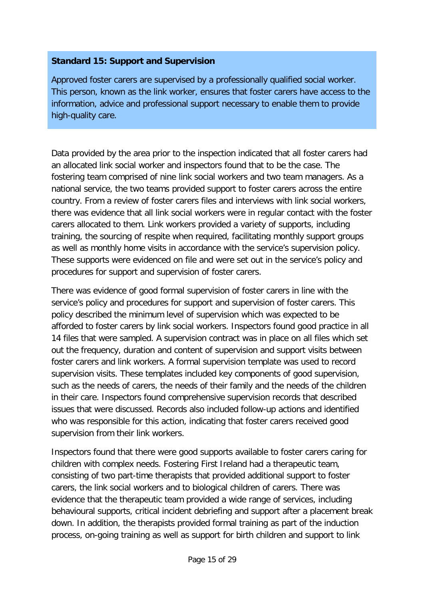## **Standard 15: Support and Supervision**

Approved foster carers are supervised by a professionally qualified social worker. This person, known as the link worker, ensures that foster carers have access to the information, advice and professional support necessary to enable them to provide high-quality care.

Data provided by the area prior to the inspection indicated that all foster carers had an allocated link social worker and inspectors found that to be the case. The fostering team comprised of nine link social workers and two team managers. As a national service, the two teams provided support to foster carers across the entire country. From a review of foster carers files and interviews with link social workers, there was evidence that all link social workers were in regular contact with the foster carers allocated to them. Link workers provided a variety of supports, including training, the sourcing of respite when required, facilitating monthly support groups as well as monthly home visits in accordance with the service's supervision policy. These supports were evidenced on file and were set out in the service's policy and procedures for support and supervision of foster carers.

There was evidence of good formal supervision of foster carers in line with the service's policy and procedures for support and supervision of foster carers. This policy described the minimum level of supervision which was expected to be afforded to foster carers by link social workers. Inspectors found good practice in all 14 files that were sampled. A supervision contract was in place on all files which set out the frequency, duration and content of supervision and support visits between foster carers and link workers. A formal supervision template was used to record supervision visits. These templates included key components of good supervision, such as the needs of carers, the needs of their family and the needs of the children in their care. Inspectors found comprehensive supervision records that described issues that were discussed. Records also included follow-up actions and identified who was responsible for this action, indicating that foster carers received good supervision from their link workers.

Inspectors found that there were good supports available to foster carers caring for children with complex needs. Fostering First Ireland had a therapeutic team, consisting of two part-time therapists that provided additional support to foster carers, the link social workers and to biological children of carers. There was evidence that the therapeutic team provided a wide range of services, including behavioural supports, critical incident debriefing and support after a placement break down. In addition, the therapists provided formal training as part of the induction process, on-going training as well as support for birth children and support to link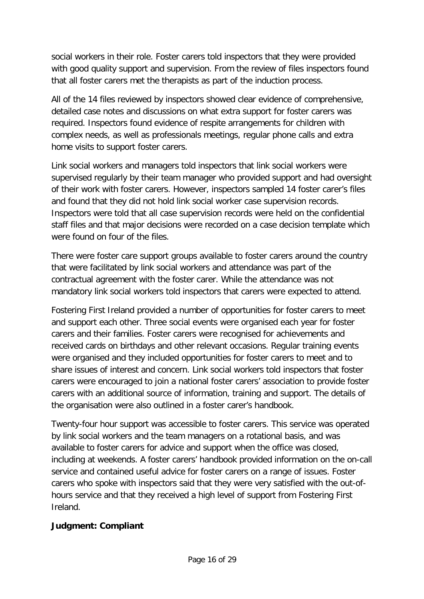social workers in their role. Foster carers told inspectors that they were provided with good quality support and supervision. From the review of files inspectors found that all foster carers met the therapists as part of the induction process.

All of the 14 files reviewed by inspectors showed clear evidence of comprehensive, detailed case notes and discussions on what extra support for foster carers was required. Inspectors found evidence of respite arrangements for children with complex needs, as well as professionals meetings, regular phone calls and extra home visits to support foster carers.

Link social workers and managers told inspectors that link social workers were supervised regularly by their team manager who provided support and had oversight of their work with foster carers. However, inspectors sampled 14 foster carer's files and found that they did not hold link social worker case supervision records. Inspectors were told that all case supervision records were held on the confidential staff files and that major decisions were recorded on a case decision template which were found on four of the files.

There were foster care support groups available to foster carers around the country that were facilitated by link social workers and attendance was part of the contractual agreement with the foster carer. While the attendance was not mandatory link social workers told inspectors that carers were expected to attend.

Fostering First Ireland provided a number of opportunities for foster carers to meet and support each other. Three social events were organised each year for foster carers and their families. Foster carers were recognised for achievements and received cards on birthdays and other relevant occasions. Regular training events were organised and they included opportunities for foster carers to meet and to share issues of interest and concern. Link social workers told inspectors that foster carers were encouraged to join a national foster carers' association to provide foster carers with an additional source of information, training and support. The details of the organisation were also outlined in a foster carer's handbook.

Twenty-four hour support was accessible to foster carers. This service was operated by link social workers and the team managers on a rotational basis, and was available to foster carers for advice and support when the office was closed, including at weekends. A foster carers' handbook provided information on the on-call service and contained useful advice for foster carers on a range of issues. Foster carers who spoke with inspectors said that they were very satisfied with the out-ofhours service and that they received a high level of support from Fostering First Ireland.

#### **Judgment: Compliant**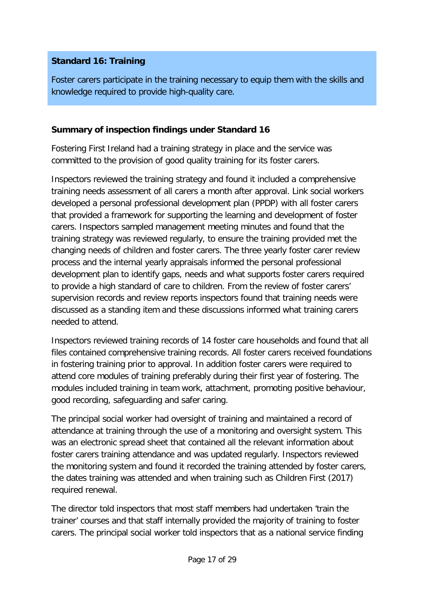# **Standard 16: Training**

Foster carers participate in the training necessary to equip them with the skills and knowledge required to provide high-quality care.

## **Summary of inspection findings under Standard 16**

Fostering First Ireland had a training strategy in place and the service was committed to the provision of good quality training for its foster carers.

Inspectors reviewed the training strategy and found it included a comprehensive training needs assessment of all carers a month after approval. Link social workers developed a personal professional development plan (PPDP) with all foster carers that provided a framework for supporting the learning and development of foster carers. Inspectors sampled management meeting minutes and found that the training strategy was reviewed regularly, to ensure the training provided met the changing needs of children and foster carers. The three yearly foster carer review process and the internal yearly appraisals informed the personal professional development plan to identify gaps, needs and what supports foster carers required to provide a high standard of care to children. From the review of foster carers' supervision records and review reports inspectors found that training needs were discussed as a standing item and these discussions informed what training carers needed to attend.

Inspectors reviewed training records of 14 foster care households and found that all files contained comprehensive training records. All foster carers received foundations in fostering training prior to approval. In addition foster carers were required to attend core modules of training preferably during their first year of fostering. The modules included training in team work, attachment, promoting positive behaviour, good recording, safeguarding and safer caring.

The principal social worker had oversight of training and maintained a record of attendance at training through the use of a monitoring and oversight system. This was an electronic spread sheet that contained all the relevant information about foster carers training attendance and was updated regularly. Inspectors reviewed the monitoring system and found it recorded the training attended by foster carers, the dates training was attended and when training such as Children First (2017) required renewal.

The director told inspectors that most staff members had undertaken 'train the trainer' courses and that staff internally provided the majority of training to foster carers. The principal social worker told inspectors that as a national service finding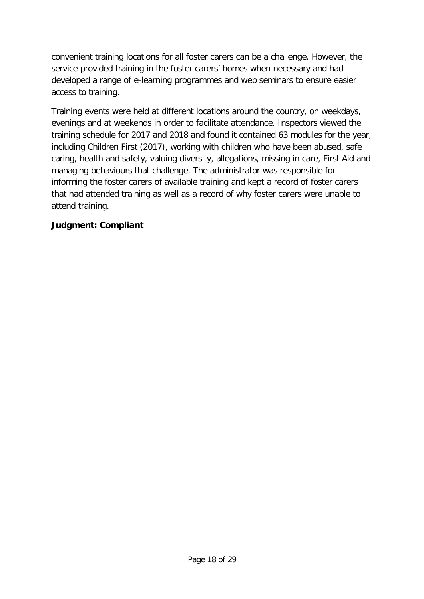convenient training locations for all foster carers can be a challenge. However, the service provided training in the foster carers' homes when necessary and had developed a range of e-learning programmes and web seminars to ensure easier access to training.

Training events were held at different locations around the country, on weekdays, evenings and at weekends in order to facilitate attendance. Inspectors viewed the training schedule for 2017 and 2018 and found it contained 63 modules for the year, including Children First (2017), working with children who have been abused, safe caring, health and safety, valuing diversity, allegations, missing in care, First Aid and managing behaviours that challenge. The administrator was responsible for informing the foster carers of available training and kept a record of foster carers that had attended training as well as a record of why foster carers were unable to attend training.

## **Judgment: Compliant**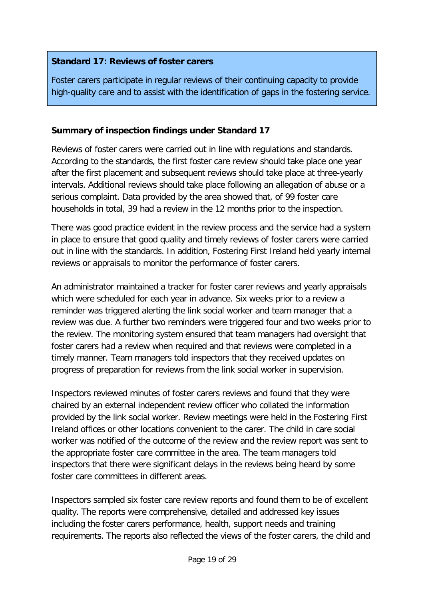## **Standard 17: Reviews of foster carers**

Foster carers participate in regular reviews of their continuing capacity to provide high-quality care and to assist with the identification of gaps in the fostering service.

## **Summary of inspection findings under Standard 17**

Reviews of foster carers were carried out in line with regulations and standards. According to the standards, the first foster care review should take place one year after the first placement and subsequent reviews should take place at three-yearly intervals. Additional reviews should take place following an allegation of abuse or a serious complaint. Data provided by the area showed that, of 99 foster care households in total, 39 had a review in the 12 months prior to the inspection.

There was good practice evident in the review process and the service had a system in place to ensure that good quality and timely reviews of foster carers were carried out in line with the standards. In addition, Fostering First Ireland held yearly internal reviews or appraisals to monitor the performance of foster carers.

An administrator maintained a tracker for foster carer reviews and yearly appraisals which were scheduled for each year in advance. Six weeks prior to a review a reminder was triggered alerting the link social worker and team manager that a review was due. A further two reminders were triggered four and two weeks prior to the review. The monitoring system ensured that team managers had oversight that foster carers had a review when required and that reviews were completed in a timely manner. Team managers told inspectors that they received updates on progress of preparation for reviews from the link social worker in supervision.

Inspectors reviewed minutes of foster carers reviews and found that they were chaired by an external independent review officer who collated the information provided by the link social worker. Review meetings were held in the Fostering First Ireland offices or other locations convenient to the carer. The child in care social worker was notified of the outcome of the review and the review report was sent to the appropriate foster care committee in the area. The team managers told inspectors that there were significant delays in the reviews being heard by some foster care committees in different areas.

Inspectors sampled six foster care review reports and found them to be of excellent quality. The reports were comprehensive, detailed and addressed key issues including the foster carers performance, health, support needs and training requirements. The reports also reflected the views of the foster carers, the child and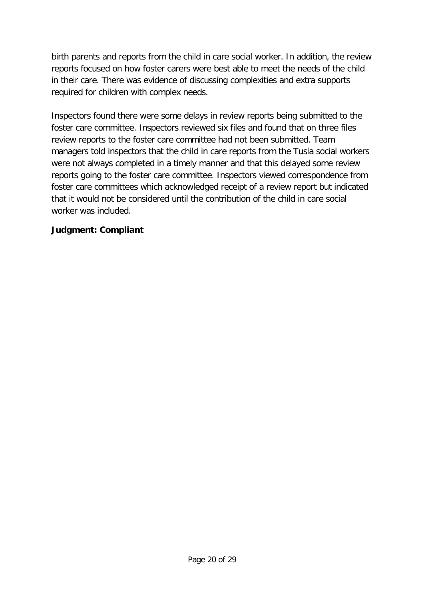birth parents and reports from the child in care social worker. In addition, the review reports focused on how foster carers were best able to meet the needs of the child in their care. There was evidence of discussing complexities and extra supports required for children with complex needs.

Inspectors found there were some delays in review reports being submitted to the foster care committee. Inspectors reviewed six files and found that on three files review reports to the foster care committee had not been submitted. Team managers told inspectors that the child in care reports from the Tusla social workers were not always completed in a timely manner and that this delayed some review reports going to the foster care committee. Inspectors viewed correspondence from foster care committees which acknowledged receipt of a review report but indicated that it would not be considered until the contribution of the child in care social worker was included.

#### **Judgment: Compliant**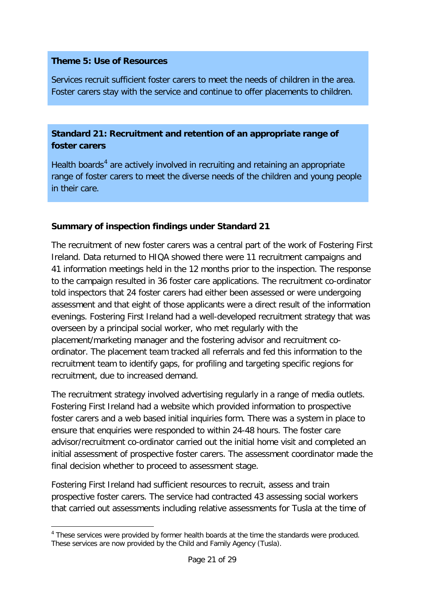#### **Theme 5: Use of Resources**

Services recruit sufficient foster carers to meet the needs of children in the area. Foster carers stay with the service and continue to offer placements to children.

# **Standard 21: Recruitment and retention of an appropriate range of foster carers**

Health boards<sup>[4](#page-20-0)</sup> are actively involved in recruiting and retaining an appropriate range of foster carers to meet the diverse needs of the children and young people in their care.

## **Summary of inspection findings under Standard 21**

The recruitment of new foster carers was a central part of the work of Fostering First Ireland. Data returned to HIQA showed there were 11 recruitment campaigns and 41 information meetings held in the 12 months prior to the inspection. The response to the campaign resulted in 36 foster care applications. The recruitment co-ordinator told inspectors that 24 foster carers had either been assessed or were undergoing assessment and that eight of those applicants were a direct result of the information evenings. Fostering First Ireland had a well-developed recruitment strategy that was overseen by a principal social worker, who met regularly with the placement/marketing manager and the fostering advisor and recruitment coordinator. The placement team tracked all referrals and fed this information to the recruitment team to identify gaps, for profiling and targeting specific regions for recruitment, due to increased demand.

The recruitment strategy involved advertising regularly in a range of media outlets. Fostering First Ireland had a website which provided information to prospective foster carers and a web based initial inquiries form. There was a system in place to ensure that enquiries were responded to within 24-48 hours. The foster care advisor/recruitment co-ordinator carried out the initial home visit and completed an initial assessment of prospective foster carers. The assessment coordinator made the final decision whether to proceed to assessment stage.

Fostering First Ireland had sufficient resources to recruit, assess and train prospective foster carers. The service had contracted 43 assessing social workers that carried out assessments including relative assessments for Tusla at the time of

<span id="page-20-0"></span><sup>-</sup><sup>4</sup> These services were provided by former health boards at the time the standards were produced. These services are now provided by the Child and Family Agency (Tusla).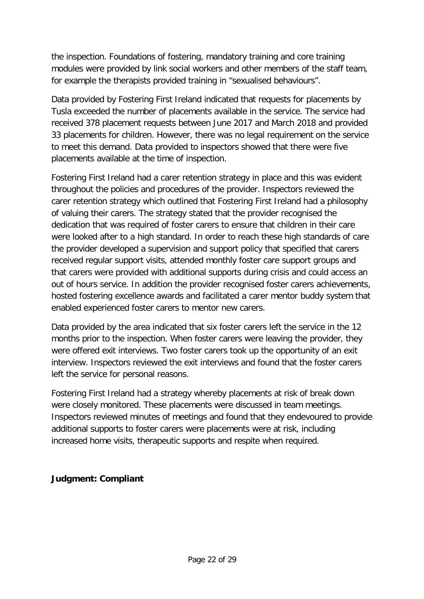the inspection. Foundations of fostering, mandatory training and core training modules were provided by link social workers and other members of the staff team, for example the therapists provided training in "sexualised behaviours".

Data provided by Fostering First Ireland indicated that requests for placements by Tusla exceeded the number of placements available in the service. The service had received 378 placement requests between June 2017 and March 2018 and provided 33 placements for children. However, there was no legal requirement on the service to meet this demand. Data provided to inspectors showed that there were five placements available at the time of inspection.

Fostering First Ireland had a carer retention strategy in place and this was evident throughout the policies and procedures of the provider. Inspectors reviewed the carer retention strategy which outlined that Fostering First Ireland had a philosophy of valuing their carers. The strategy stated that the provider recognised the dedication that was required of foster carers to ensure that children in their care were looked after to a high standard. In order to reach these high standards of care the provider developed a supervision and support policy that specified that carers received regular support visits, attended monthly foster care support groups and that carers were provided with additional supports during crisis and could access an out of hours service. In addition the provider recognised foster carers achievements, hosted fostering excellence awards and facilitated a carer mentor buddy system that enabled experienced foster carers to mentor new carers.

Data provided by the area indicated that six foster carers left the service in the 12 months prior to the inspection. When foster carers were leaving the provider, they were offered exit interviews. Two foster carers took up the opportunity of an exit interview. Inspectors reviewed the exit interviews and found that the foster carers left the service for personal reasons.

Fostering First Ireland had a strategy whereby placements at risk of break down were closely monitored. These placements were discussed in team meetings. Inspectors reviewed minutes of meetings and found that they endevoured to provide additional supports to foster carers were placements were at risk, including increased home visits, therapeutic supports and respite when required.

#### **Judgment: Compliant**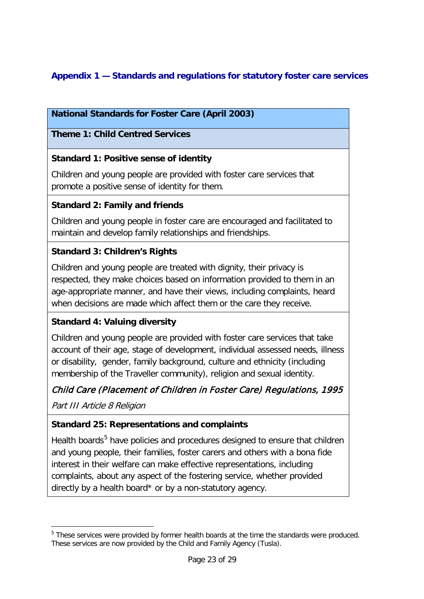# **Appendix 1 — Standards and regulations for statutory foster care services**

# **National Standards for Foster Care (April 2003)**

## **Theme 1: Child Centred Services**

## **Standard 1: Positive sense of identity**

Children and young people are provided with foster care services that promote a positive sense of identity for them.

## **Standard 2: Family and friends**

Children and young people in foster care are encouraged and facilitated to maintain and develop family relationships and friendships.

## **Standard 3: Children's Rights**

Children and young people are treated with dignity, their privacy is respected, they make choices based on information provided to them in an age-appropriate manner, and have their views, including complaints, heard when decisions are made which affect them or the care they receive.

## **Standard 4: Valuing diversity**

Children and young people are provided with foster care services that take account of their age, stage of development, individual assessed needs, illness or disability, gender, family background, culture and ethnicity (including membership of the Traveller community), religion and sexual identity.

## Child Care (Placement of Children in Foster Care) Regulations, 1995

Part III Article 8 Religion

-

## **Standard 25: Representations and complaints**

Health boards $5$  have policies and procedures designed to ensure that children and young people, their families, foster carers and others with a bona fide interest in their welfare can make effective representations, including complaints, about any aspect of the fostering service, whether provided directly by a health board\* or by a non-statutory agency.

<span id="page-22-0"></span><sup>&</sup>lt;sup>5</sup> These services were provided by former health boards at the time the standards were produced. These services are now provided by the Child and Family Agency (Tusla).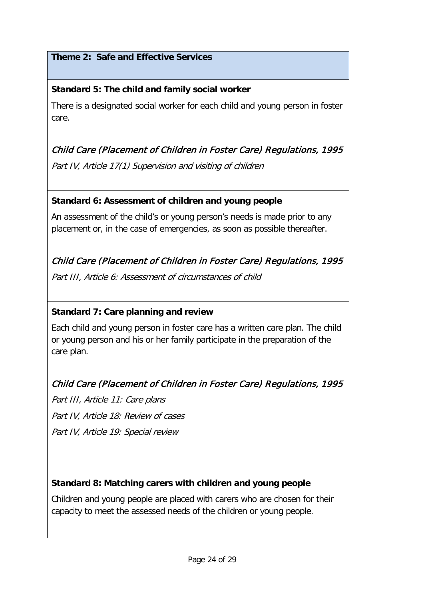# **Theme 2: Safe and Effective Services**

# **Standard 5: The child and family social worker**

There is a designated social worker for each child and young person in foster care.

# Child Care (Placement of Children in Foster Care) Regulations, 1995

Part IV, Article 17(1) Supervision and visiting of children

#### **Standard 6: Assessment of children and young people**

An assessment of the child's or young person's needs is made prior to any placement or, in the case of emergencies, as soon as possible thereafter.

# Child Care (Placement of Children in Foster Care) Regulations, 1995

Part III, Article 6: Assessment of circumstances of child

## **Standard 7: Care planning and review**

Each child and young person in foster care has a written care plan. The child or young person and his or her family participate in the preparation of the care plan.

# Child Care (Placement of Children in Foster Care) Regulations, 1995

Part III, Article 11: Care plans Part IV, Article 18: Review of cases Part IV, Article 19: Special review

## **Standard 8: Matching carers with children and young people**

Children and young people are placed with carers who are chosen for their capacity to meet the assessed needs of the children or young people.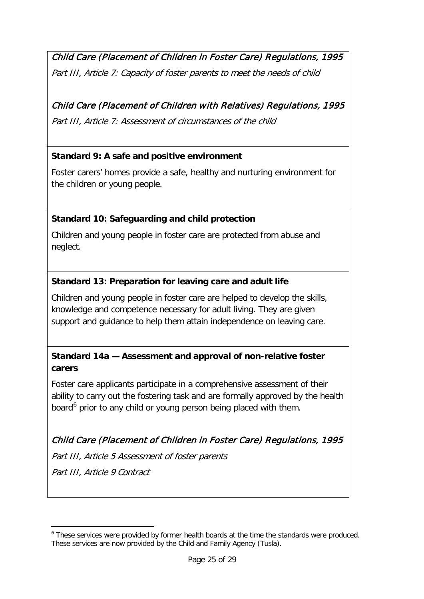Child Care (Placement of Children in Foster Care) Regulations, 1995 Part III, Article 7: Capacity of foster parents to meet the needs of child

# Child Care (Placement of Children with Relatives) Regulations, 1995

Part III, Article 7: Assessment of circumstances of the child

## **Standard 9: A safe and positive environment**

Foster carers' homes provide a safe, healthy and nurturing environment for the children or young people.

# **Standard 10: Safeguarding and child protection**

Children and young people in foster care are protected from abuse and neglect.

## **Standard 13: Preparation for leaving care and adult life**

Children and young people in foster care are helped to develop the skills, knowledge and competence necessary for adult living. They are given support and guidance to help them attain independence on leaving care.

# **Standard 14a — Assessment and approval of non-relative foster carers**

Foster care applicants participate in a comprehensive assessment of their ability to carry out the fostering task and are formally approved by the health board<sup>[6](#page-24-0)</sup> prior to any child or young person being placed with them.

# Child Care (Placement of Children in Foster Care) Regulations, 1995

Part III, Article 5 Assessment of foster parents

Part III, Article 9 Contract

-

<span id="page-24-0"></span><sup>6</sup> These services were provided by former health boards at the time the standards were produced. These services are now provided by the Child and Family Agency (Tusla).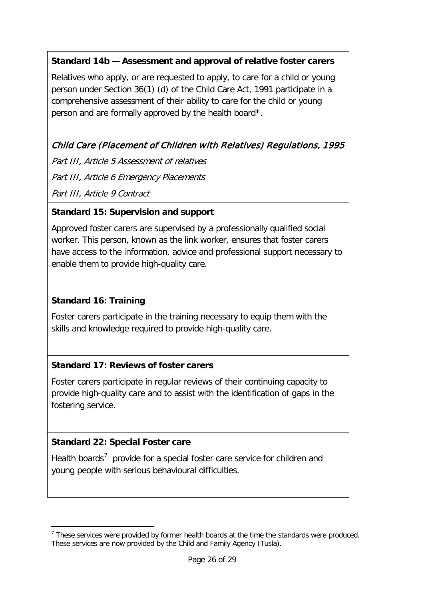# **Standard 14b — Assessment and approval of relative foster carers**

Relatives who apply, or are requested to apply, to care for a child or young person under Section 36(1) (d) of the Child Care Act, 1991 participate in a comprehensive assessment of their ability to care for the child or young person and are formally approved by the health board\*.

# Child Care (Placement of Children with Relatives) Regulations, 1995

Part III, Article 5 Assessment of relatives Part III, Article 6 Emergency Placements Part III, Article 9 Contract

## **Standard 15: Supervision and support**

Approved foster carers are supervised by a professionally qualified social worker. This person, known as the link worker, ensures that foster carers have access to the information, advice and professional support necessary to enable them to provide high-quality care.

## **Standard 16: Training**

Foster carers participate in the training necessary to equip them with the skills and knowledge required to provide high-quality care.

## **Standard 17: Reviews of foster carers**

Foster carers participate in regular reviews of their continuing capacity to provide high-quality care and to assist with the identification of gaps in the fostering service.

## **Standard 22: Special Foster care**

-

Health boards<sup>[7](#page-25-0)</sup> provide for a special foster care service for children and young people with serious behavioural difficulties.

<span id="page-25-0"></span> $<sup>7</sup>$  These services were provided by former health boards at the time the standards were produced.</sup> These services are now provided by the Child and Family Agency (Tusla).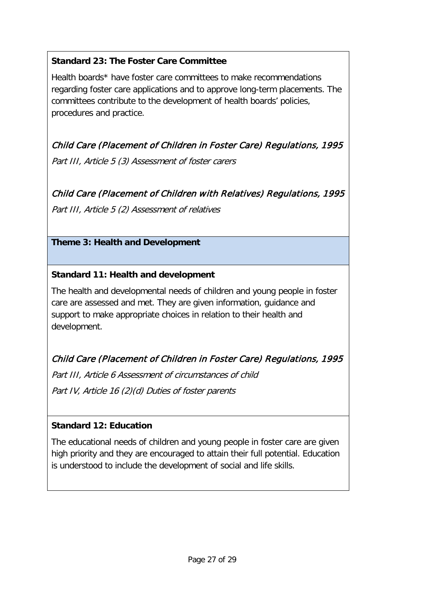# **Standard 23: The Foster Care Committee**

Health boards\* have foster care committees to make recommendations regarding foster care applications and to approve long-term placements. The committees contribute to the development of health boards' policies, procedures and practice.

Child Care (Placement of Children in Foster Care) Regulations, 1995

Part III, Article 5 (3) Assessment of foster carers

Child Care (Placement of Children with Relatives) Regulations, 1995

Part III, Article 5 (2) Assessment of relatives

## **Theme 3: Health and Development**

## **Standard 11: Health and development**

The health and developmental needs of children and young people in foster care are assessed and met. They are given information, guidance and support to make appropriate choices in relation to their health and development.

# Child Care (Placement of Children in Foster Care) Regulations, 1995

Part III, Article 6 Assessment of circumstances of child

Part IV, Article 16 (2)(d) Duties of foster parents

## **Standard 12: Education**

The educational needs of children and young people in foster care are given high priority and they are encouraged to attain their full potential. Education is understood to include the development of social and life skills.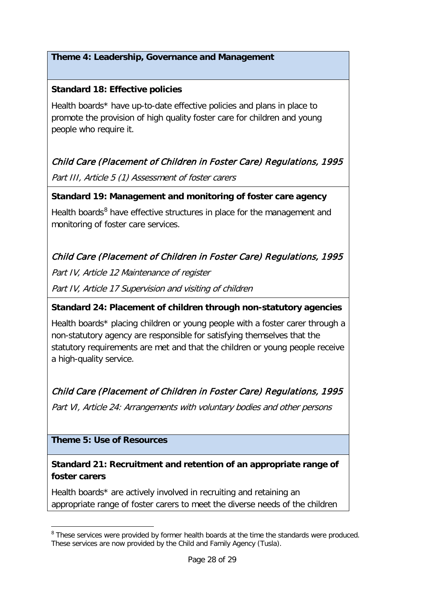## **Standard 18: Effective policies**

Health boards\* have up-to-date effective policies and plans in place to promote the provision of high quality foster care for children and young people who require it.

# Child Care (Placement of Children in Foster Care) Regulations, 1995

Part III, Article 5 (1) Assessment of foster carers

## **Standard 19: Management and monitoring of foster care agency**

Health boards $8$  have effective structures in place for the management and monitoring of foster care services.

# Child Care (Placement of Children in Foster Care) Regulations, 1995

Part IV, Article 12 Maintenance of register

Part IV, Article 17 Supervision and visiting of children

## **Standard 24: Placement of children through non-statutory agencies**

Health boards\* placing children or young people with a foster carer through a non-statutory agency are responsible for satisfying themselves that the statutory requirements are met and that the children or young people receive a high-quality service.

# Child Care (Placement of Children in Foster Care) Regulations, 1995

Part VI, Article 24: Arrangements with voluntary bodies and other persons

## **Theme 5: Use of Resources**

-

# **Standard 21: Recruitment and retention of an appropriate range of foster carers**

Health boards\* are actively involved in recruiting and retaining an appropriate range of foster carers to meet the diverse needs of the children

<span id="page-27-0"></span><sup>&</sup>lt;sup>8</sup> These services were provided by former health boards at the time the standards were produced. These services are now provided by the Child and Family Agency (Tusla).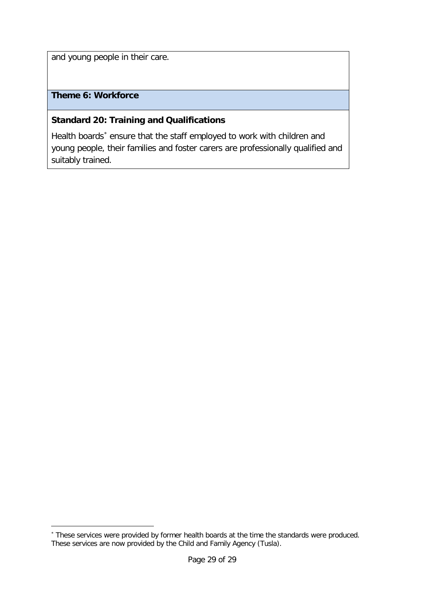and young people in their care.

# **Theme 6: Workforce**

-

## **Standard 20: Training and Qualifications**

Health boards<sup>\*</sup> ensure that the staff employed to work with children and young people, their families and foster carers are professionally qualified and suitably trained.

<span id="page-28-0"></span><sup>∗</sup> These services were provided by former health boards at the time the standards were produced. These services are now provided by the Child and Family Agency (Tusla).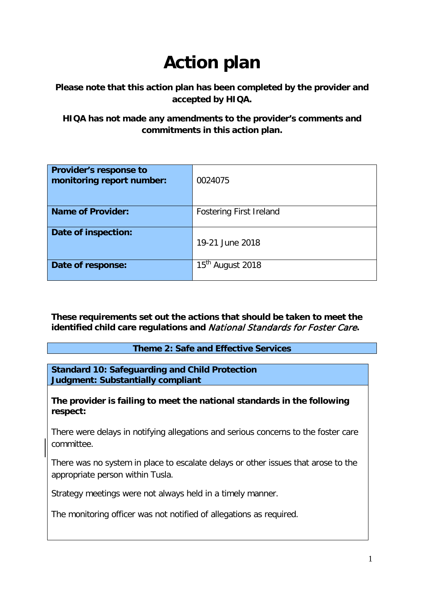# **Action plan**

## **Please note that this action plan has been completed by the provider and accepted by HIQA.**

**HIQA has not made any amendments to the provider's comments and commitments in this action plan.**

| <b>Provider's response to</b><br>monitoring report number: | 0024075                        |
|------------------------------------------------------------|--------------------------------|
| <b>Name of Provider:</b>                                   | <b>Fostering First Ireland</b> |
| Date of inspection:                                        | 19-21 June 2018                |
| Date of response:                                          | 15 <sup>th</sup> August 2018   |

**These requirements set out the actions that should be taken to meet the identified child care regulations and** National Standards for Foster Care**.** 

**Theme 2: Safe and Effective Services**

**Standard 10: Safeguarding and Child Protection Judgment: Substantially compliant**

**The provider is failing to meet the national standards in the following respect:**

There were delays in notifying allegations and serious concerns to the foster care committee.

There was no system in place to escalate delays or other issues that arose to the appropriate person within Tusla.

Strategy meetings were not always held in a timely manner.

The monitoring officer was not notified of allegations as required.